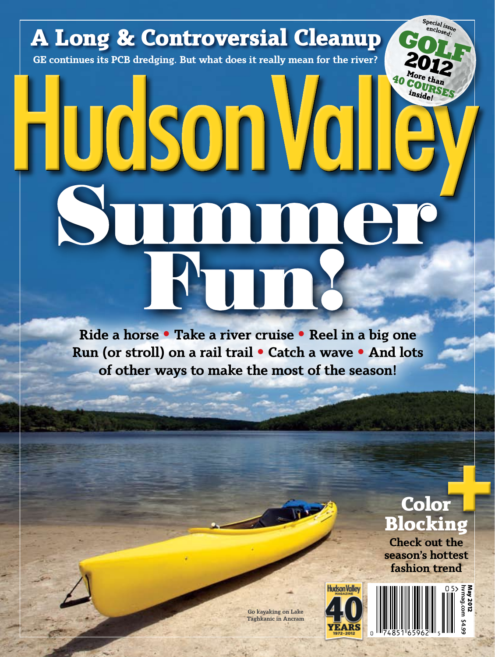## enclosed **A Long & Controversial Cleanup GOLF GE continues its PCB dredging. But what does it really mean for the river? 2012 More than <sup>40</sup> CO**  $i$ *nside!* Fludson Val non Fun!

**Ride a horse • Take a river cruise • Reel in a big one Run (or stroll) on a rail trail• Catch a wave • And lots of other ways to make the most of the season!**

### **Color Blocking Check out the**  |<br>|-<br>| ||<br>| || ||

**Sp e e n c c i l a <sup>l</sup> <sup>i</sup>ssu<sup>e</sup>**

**season's hottest fashion trend**